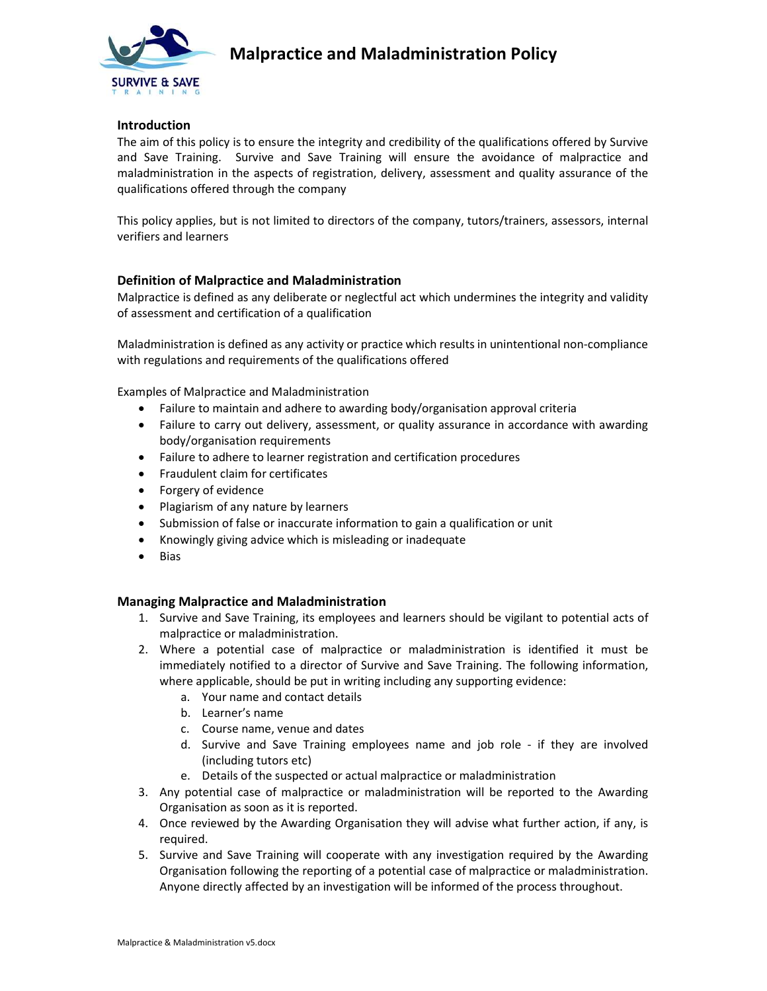

## Introduction

The aim of this policy is to ensure the integrity and credibility of the qualifications offered by Survive and Save Training. Survive and Save Training will ensure the avoidance of malpractice and maladministration in the aspects of registration, delivery, assessment and quality assurance of the qualifications offered through the company

This policy applies, but is not limited to directors of the company, tutors/trainers, assessors, internal verifiers and learners

## Definition of Malpractice and Maladministration

Malpractice is defined as any deliberate or neglectful act which undermines the integrity and validity of assessment and certification of a qualification

Maladministration is defined as any activity or practice which results in unintentional non-compliance with regulations and requirements of the qualifications offered

Examples of Malpractice and Maladministration

- Failure to maintain and adhere to awarding body/organisation approval criteria
- Failure to carry out delivery, assessment, or quality assurance in accordance with awarding body/organisation requirements
- Failure to adhere to learner registration and certification procedures
- Fraudulent claim for certificates
- Forgery of evidence
- Plagiarism of any nature by learners
- Submission of false or inaccurate information to gain a qualification or unit
- Knowingly giving advice which is misleading or inadequate
- Bias

## Managing Malpractice and Maladministration

- 1. Survive and Save Training, its employees and learners should be vigilant to potential acts of malpractice or maladministration.
- 2. Where a potential case of malpractice or maladministration is identified it must be immediately notified to a director of Survive and Save Training. The following information, where applicable, should be put in writing including any supporting evidence:
	- a. Your name and contact details
	- b. Learner's name
	- c. Course name, venue and dates
	- d. Survive and Save Training employees name and job role if they are involved (including tutors etc)
	- e. Details of the suspected or actual malpractice or maladministration
- 3. Any potential case of malpractice or maladministration will be reported to the Awarding Organisation as soon as it is reported.
- 4. Once reviewed by the Awarding Organisation they will advise what further action, if any, is required.
- 5. Survive and Save Training will cooperate with any investigation required by the Awarding Organisation following the reporting of a potential case of malpractice or maladministration. Anyone directly affected by an investigation will be informed of the process throughout.